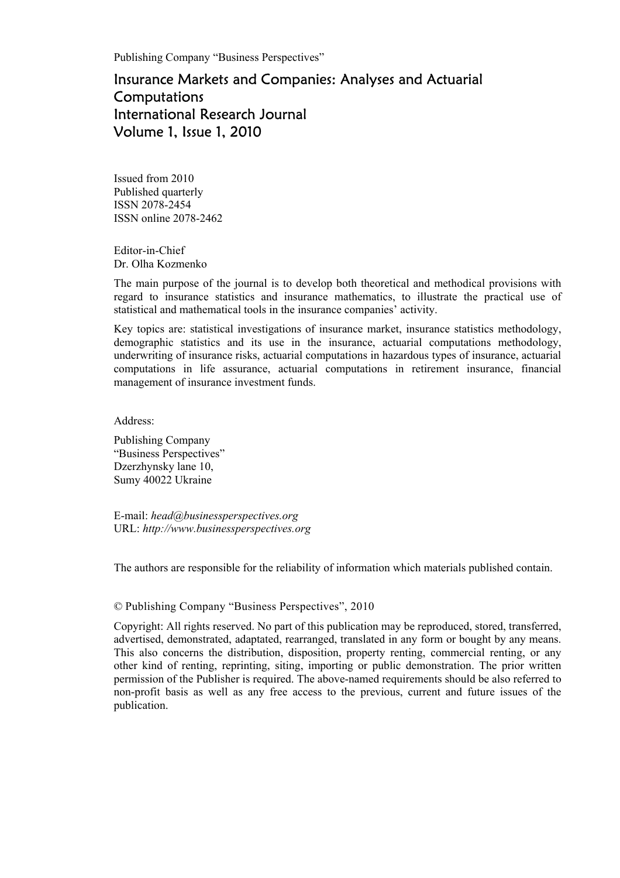Publishing Company "Business Perspectives"

## Insurance Markets and Companies: Analyses and Actuarial **Computations** International Research Journal Volume 1, Issue 1, 2010

Issued from 2010 Published quarterly ISSN 2078-2454 ISSN online 2078-2462

Editor-in-Chief Dr. Olha Kozmenko

The main purpose of the journal is to develop both theoretical and methodical provisions with regard to insurance statistics and insurance mathematics, to illustrate the practical use of statistical and mathematical tools in the insurance companies' activity.

Key topics are: statistical investigations of insurance market, insurance statistics methodology, demographic statistics and its use in the insurance, actuarial computations methodology, underwriting of insurance risks, actuarial computations in hazardous types of insurance, actuarial computations in life assurance, actuarial computations in retirement insurance, financial management of insurance investment funds.

Address:

Publishing Company "Business Perspectives" Dzerzhynsky lane 10, Sumy 40022 Ukraine

E-mail: *head@businessperspectives.org*  URL: *http://www.businessperspectives.org*

The authors are responsible for the reliability of information which materials published contain.

© Publishing Company "Business Perspectives", 2010

Copyright: All rights reserved. No part of this publication may be reproduced, stored, transferred, advertised, demonstrated, adaptated, rearranged, translated in any form or bought by any means. This also concerns the distribution, disposition, property renting, commercial renting, or any other kind of renting, reprinting, siting, importing or public demonstration. The prior written permission of the Publisher is required. The above-named requirements should be also referred to non-profit basis as well as any free access to the previous, current and future issues of the publication.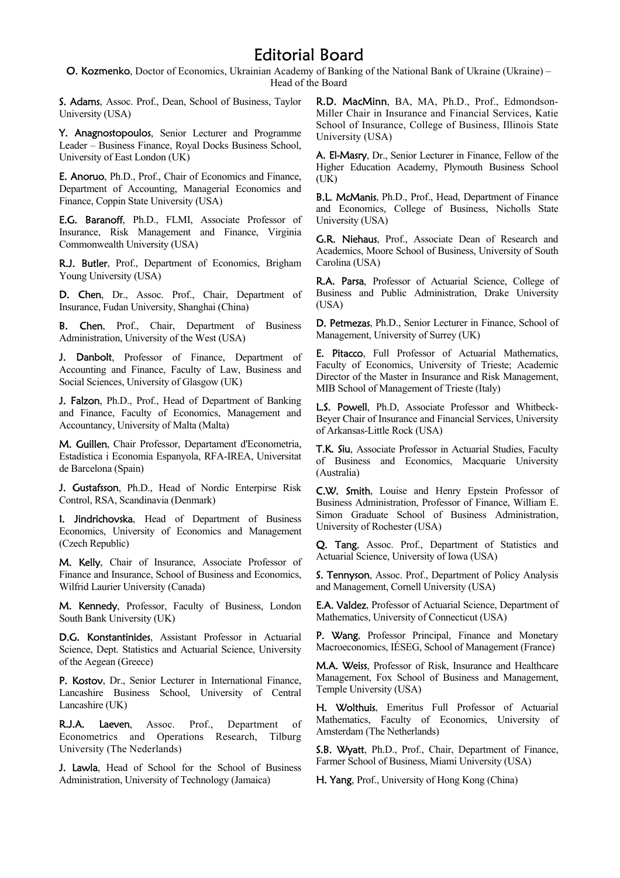## Editorial Board

O. Kozmenko, Doctor of Economics, Ukrainian Academy of Banking of the National Bank of Ukraine (Ukraine) – Head of the Board

S. Adams, Assoc. Prof., Dean, School of Business, Taylor University (USA)

Y. Anagnostopoulos, Senior Lecturer and Programme Leader – Business Finance, Royal Docks Business School, University of East London (UK)

E. Anoruo, Ph.D., Prof., Chair of Economics and Finance, Department of Accounting, Managerial Economics and Finance, Coppin State University (USA)

E.G. Baranoff, Ph.D., FLMI, Associate Professor of Insurance, Risk Management and Finance, Virginia Commonwealth University (USA)

R.J. Butler, Prof., Department of Economics, Brigham Young University (USA)

D. Chen, Dr., Assoc. Prof., Chair, Department of Insurance, Fudan University, Shanghai (China)

**B.** Chen, Prof., Chair, Department of Business Administration, University of the West (USA)

J. Danbolt, Professor of Finance, Department of Accounting and Finance, Faculty of Law, Business and Social Sciences, University of Glasgow (UK)

J. Falzon, Ph.D., Prof., Head of Department of Banking and Finance, Faculty of Economics, Management and Accountancy, University of Malta (Malta)

M. Guillen, Chair Professor, Departament d'Econometria, Estadística i Economia Espanyola, RFA-IREA, Universitat de Barcelona (Spain)

J. Gustafsson, Ph.D., Head of Nordic Enterpirse Risk Control, RSA, Scandinavia (Denmark)

I. Jindrichovska, Head of Department of Business Economics, University of Economics and Management (Czech Republic)

M. Kelly, Chair of Insurance, Associate Professor of Finance and Insurance, School of Business and Economics, Wilfrid Laurier University (Canada)

M. Kennedy, Professor, Faculty of Business, London South Bank University (UK)

D.G. Konstantinides, Assistant Professor in Actuarial Science, Dept. Statistics and Actuarial Science, University of the Aegean (Greece)

P. Kostov, Dr., Senior Lecturer in International Finance, Lancashire Business School, University of Central Lancashire (UK)

R.J.A. Laeven, Assoc. Prof., Department of Econometrics and Operations Research, Tilburg University (The Nederlands)

J. Lawla, Head of School for the School of Business Administration, University of Technology (Jamaica)

R.D. MacMinn, BA, MA, Ph.D., Prof., Edmondson-Miller Chair in Insurance and Financial Services, Katie School of Insurance, College of Business, Illinois State University (USA)

A. El-Masry, Dr., Senior Lecturer in Finance, Fellow of the Higher Education Academy, Plymouth Business School (UK)

B.L. McManis, Ph.D., Prof., Head, Department of Finance and Economics, College of Business, Nicholls State University (USA)

G.R. Niehaus, Prof., Associate Dean of Research and Academics, Moore School of Business, University of South Carolina (USA)

R.A. Parsa, Professor of Actuarial Science, College of Business and Public Administration, Drake University (USA)

D. Petmezas, Ph.D., Senior Lecturer in Finance, School of Management, University of Surrey (UK)

E. Pitacco, Full Professor of Actuarial Mathematics, Faculty of Economics, University of Trieste; Academic Director of the Master in Insurance and Risk Management, MIB School of Management of Trieste (Italy)

L.S. Powell, Ph.D, Associate Professor and Whitbeck-Beyer Chair of Insurance and Financial Services, University of Arkansas-Little Rock (USA)

T.K. Siu, Associate Professor in Actuarial Studies, Faculty of Business and Economics, Macquarie University (Australia)

C.W. Smith, Louise and Henry Epstein Professor of Business Administration, Professor of Finance, William E. Simon Graduate School of Business Administration, University of Rochester (USA)

Q. Tang, Assoc. Prof., Department of Statistics and Actuarial Science, University of Iowa (USA)

S. Tennyson, Assoc. Prof., Department of Policy Analysis and Management, Cornell University (USA)

E.A. Valdez, Professor of Actuarial Science, Department of Mathematics, University of Connecticut (USA)

P. Wang, Professor Principal, Finance and Monetary Macroeconomics, IÉSEG, School of Management (France)

M.A. Weiss, Professor of Risk, Insurance and Healthcare Management, Fox School of Business and Management, Temple University (USA)

H. Wolthuis, Emeritus Full Professor of Actuarial Mathematics, Faculty of Economics, University of Amsterdam (The Netherlands)

S.B. Wyatt, Ph.D., Prof., Chair, Department of Finance, Farmer School of Business, Miami University (USA)

H. Yang, Prof., University of Hong Kong (China)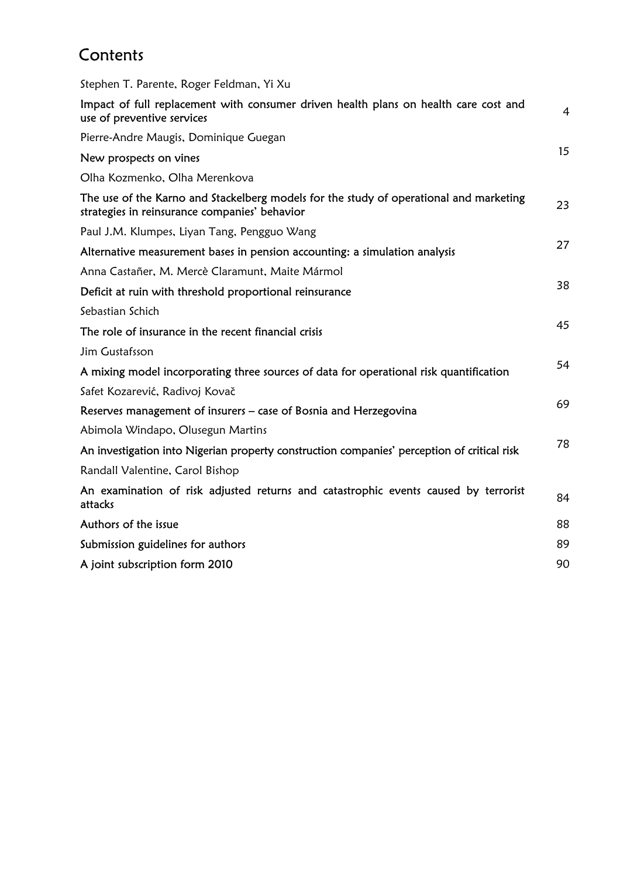# **Contents**

Stephen T. Parente, Roger Feldman, Yi Xu

| Impact of full replacement with consumer driven health plans on health care cost and<br>use of preventive services                      | $\overline{4}$ |
|-----------------------------------------------------------------------------------------------------------------------------------------|----------------|
| Pierre-Andre Maugis, Dominique Guegan                                                                                                   |                |
| New prospects on vines                                                                                                                  | 15             |
| Olha Kozmenko, Olha Merenkova                                                                                                           |                |
| The use of the Karno and Stackelberg models for the study of operational and marketing<br>strategies in reinsurance companies' behavior | 23             |
| Paul J.M. Klumpes, Liyan Tang, Pengguo Wang                                                                                             |                |
| Alternative measurement bases in pension accounting: a simulation analysis                                                              | 27             |
| Anna Castañer, M. Mercè Claramunt, Maite Mármol                                                                                         |                |
| Deficit at ruin with threshold proportional reinsurance                                                                                 | 38             |
| Sebastian Schich                                                                                                                        |                |
| The role of insurance in the recent financial crisis                                                                                    | 45             |
| Jim Gustafsson                                                                                                                          |                |
| A mixing model incorporating three sources of data for operational risk quantification                                                  | 54             |
| Safet Kozarević, Radivoj Kovač                                                                                                          |                |
| Reserves management of insurers – case of Bosnia and Herzegovina                                                                        | 69             |
| Abimola Windapo, Olusegun Martins                                                                                                       |                |
| An investigation into Nigerian property construction companies' perception of critical risk                                             | 78             |
| Randall Valentine, Carol Bishop                                                                                                         |                |
| An examination of risk adjusted returns and catastrophic events caused by terrorist<br>attacks                                          | 84             |
| Authors of the issue                                                                                                                    | 88             |
| Submission guidelines for authors                                                                                                       | 89             |
| A joint subscription form 2010                                                                                                          | 90             |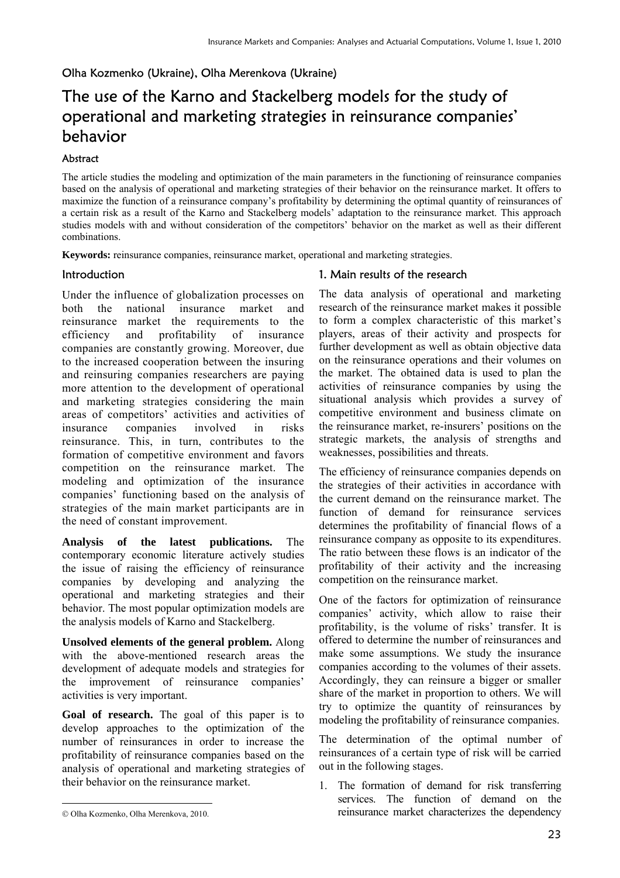### Olha Kozmenko (Ukraine), Olha Merenkova (Ukraine)

## The use of the Karno and Stackelberg models for the study of operational and marketing strategies in reinsurance companies' behavior

### Abstract

The article studies the modeling and optimization of the main parameters in the functioning of reinsurance companies based on the analysis of operational and marketing strategies of their behavior on the reinsurance market. It offers to maximize the function of a reinsurance company's profitability by determining the optimal quantity of reinsurances of a certain risk as a result of the Karno and Stackelberg models' adaptation to the reinsurance market. This approach studies models with and without consideration of the competitors' behavior on the market as well as their different combinations.

**Keywords:** reinsurance companies, reinsurance market, operational and marketing strategies.

#### **Introduction**

Under the influence of globalization processes on both the national insurance market and reinsurance market the requirements to the efficiency and profitability of insurance companies are constantly growing. Moreover, due to the increased cooperation between the insuring and reinsuring companies researchers are paying more attention to the development of operational and marketing strategies considering the main areas of competitors' activities and activities of insurance companies involved in risks reinsurance. This, in turn, contributes to the formation of competitive environment and favors competition on the reinsurance market. The modeling and optimization of the insurance companies' functioning based on the analysis of strategies of the main market participants are in the need of constant improvement.

**Analysis of the latest publications.** The contemporary economic literature actively studies the issue of raising the efficiency of reinsurance companies by developing and analyzing the operational and marketing strategies and their behavior. The most popular optimization models are the analysis models of Karno and Stackelberg.

**Unsolved elements of the general problem.** Along with the above-mentioned research areas the development of adequate models and strategies for the improvement of reinsurance companies' activities is very important.

**Goal of research.** The goal of this paper is to develop approaches to the optimization of the number of reinsurances in order to increase the profitability of reinsurance companies based on the analysis of operational and marketing strategies of their behavior on the reinsurance market.

#### 1. Main results of the research

The data analysis of operational and marketing research of the reinsurance market makes it possible to form a complex characteristic of this market's players, areas of their activity and prospects for further development as well as obtain objective data on the reinsurance operations and their volumes on the market. The obtained data is used to plan the activities of reinsurance companies by using the situational analysis which provides a survey of competitive environment and business climate on the reinsurance market, re-insurers' positions on the strategic markets, the analysis of strengths and weaknesses, possibilities and threats.

The efficiency of reinsurance companies depends on the strategies of their activities in accordance with the current demand on the reinsurance market. The function of demand for reinsurance services determines the profitability of financial flows of a reinsurance company as opposite to its expenditures. The ratio between these flows is an indicator of the profitability of their activity and the increasing competition on the reinsurance market.

One of the factors for optimization of reinsurance companies' activity, which allow to raise their profitability, is the volume of risks' transfer. It is offered to determine the number of reinsurances and make some assumptions. We study the insurance companies according to the volumes of their assets. Accordingly, they can reinsure a bigger or smaller share of the market in proportion to others. We will try to optimize the quantity of reinsurances by modeling the profitability of reinsurance companies.

The determination of the optimal number of reinsurances of a certain type of risk will be carried out in the following stages.

1. The formation of demand for risk transferring services. The function of demand on the reinsurance market characterizes the dependency

<sup>©</sup> Olha Kozmenko, Olha Merenkova, 2010.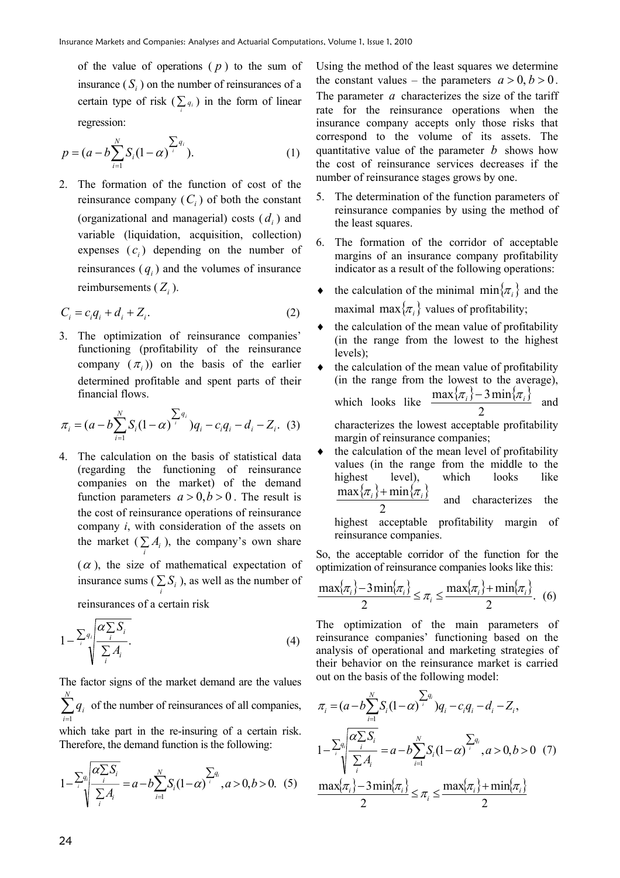of the value of operations ( *p* ) to the sum of insurance  $(S_i)$  on the number of reinsurances of a certain type of risk  $(\sum_{i} q_i)$  in the form of linear regression:

$$
p = (a - b \sum_{i=1}^{N} S_i (1 - \alpha)^{\sum_{i=1}^{q_i}}).
$$
 (1)

2. The formation of the function of cost of the reinsurance company  $(C_i)$  of both the constant (organizational and managerial) costs  $(d_i)$  and variable (liquidation, acquisition, collection) expenses  $(c_i)$  depending on the number of reinsurances  $(q_i)$  and the volumes of insurance reimbursements  $(Z_i)$ .

$$
C_i = c_i q_i + d_i + Z_i. \tag{2}
$$

3. The optimization of reinsurance companies' functioning (profitability of the reinsurance company  $(\pi_i)$  on the basis of the earlier determined profitable and spent parts of their financial flows.

$$
\pi_i = (a - b \sum_{i=1}^{N} S_i (1 - \alpha)^{\sum_{i=1}^{q_i}}) q_i - c_i q_i - d_i - Z_i.
$$
 (3)

4. The calculation on the basis of statistical data (regarding the functioning of reinsurance companies on the market) of the demand function parameters  $a > 0, b > 0$ . The result is the cost of reinsurance operations of reinsurance company *і*, with consideration of the assets on the market  $(\sum_{i} A_i)$ , the company's own share

 $(\alpha)$ , the size of mathematical expectation of insurance sums ( $\sum_{i} S_i$ ), as well as the number of

reinsurances of a certain risk

$$
1 - \sum_{i} q_i \left| \frac{\alpha \sum_{i} S_i}{\sum_{i} A_i} \right| \tag{4}
$$

The factor signs of the market demand are the values  $\sum_{i=1}^N$ *i qi* of the number of reinsurances of all companies, 1

which take part in the re-insuring of a certain risk. Therefore, the demand function is the following:

$$
1 - \sum_{i}^{n} a_i \sqrt{\frac{\alpha \sum_{i}^{S_i}}{\sum_{i}^{S_i}}} = a - b \sum_{i=1}^{N} S_i (1 - \alpha)^{\sum_{i}^{S_i}}, a > 0, b > 0. \tag{5}
$$

Using the method of the least squares we determine the constant values – the parameters  $a > 0, b > 0$ . The parameter *a* characterizes the size of the tariff rate for the reinsurance operations when the insurance company accepts only those risks that correspond to the volume of its assets. The quantitative value of the parameter *b* shows how the cost of reinsurance services decreases if the number of reinsurance stages grows by one.

- 5. The determination of the function parameters of reinsurance companies by using the method of the least squares.
- 6. The formation of the corridor of acceptable margins of an insurance company profitability indicator as a result of the following operations:
- $\bullet$  the calculation of the minimal min $\{\pi_i\}$  and the maximal  $\max{\lbrace \pi_i \rbrace}$  values of profitability;
- the calculation of the mean value of profitability (in the range from the lowest to the highest levels);
- $\bullet$  the calculation of the mean value of profitability (in the range from the lowest to the average), which looks like  ${\max\{\pi_i\} - 3 \min\{\pi_i\}}$ 2  $\frac{\max\{\pi_i\} - 3\min\{\pi_i\}}{2}$  and characterizes the lowest acceptable profitability margin of reinsurance companies;
- ♦ the calculation of the mean level of profitability values (in the range from the middle to the highest level), which looks like  ${\max{\pi_i} + \min{\pi_i}}$  and characterizes the 2

highest acceptable profitability margin of reinsurance companies.

So, the acceptable corridor of the function for the optimization of reinsurance companies looks like this:

$$
\frac{\max\{\pi_i\}-3\min\{\pi_i\}}{2} \le \pi_i \le \frac{\max\{\pi_i\}+\min\{\pi_i\}}{2}.
$$
 (6)

The optimization of the main parameters of reinsurance companies' functioning based on the analysis of operational and marketing strategies of their behavior on the reinsurance market is carried out on the basis of the following model:

$$
\pi_{i} = (a - b \sum_{i=1}^{N} S_{i} (1 - \alpha)^{\sum_{i} q_{i}}) q_{i} - c_{i} q_{i} - d_{i} - Z_{i},
$$
\n
$$
1 - \sum_{i}^{q_{i}} \frac{\alpha \sum_{i} S_{i}}{\sum_{i} A_{i}} = a - b \sum_{i=1}^{N} S_{i} (1 - \alpha)^{\sum_{i} q_{i}} , a > 0, b > 0 \quad (7)
$$
\n
$$
\frac{\max\{\pi_{i}\} - 3 \min\{\pi_{i}\}}{2} \le \pi_{i} \le \frac{\max\{\pi_{i}\} + \min\{\pi_{i}\}}{2}
$$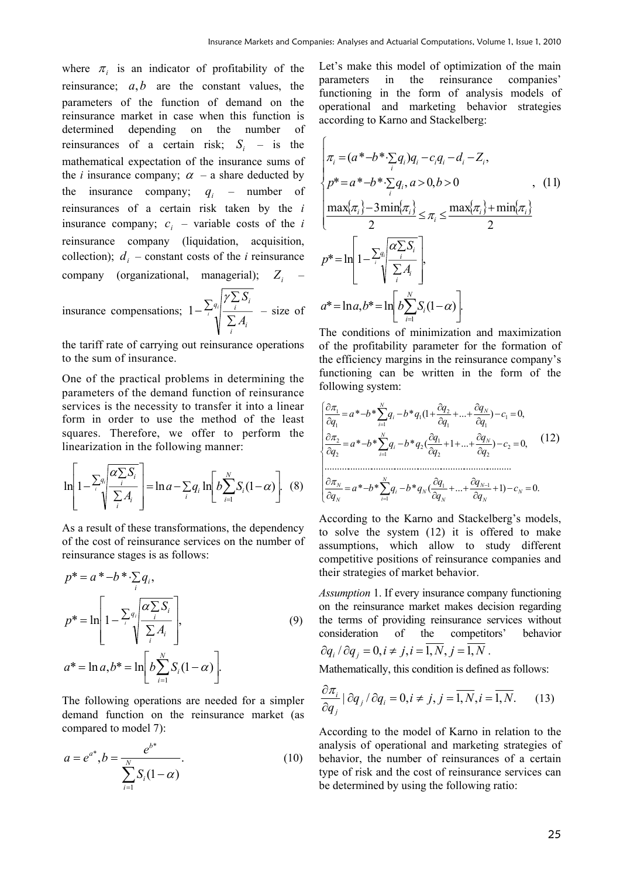where  $\pi_i$  is an indicator of profitability of the reinsurance;  $a, b$  are the constant values, the parameters of the function of demand on the reinsurance market in case when this function is determined depending on the number of reinsurances of a certain risk;  $S_i$  – is the mathematical expectation of the insurance sums of the *i* insurance company;  $\alpha$  – a share deducted by the insurance company;  $q_i$  – number of reinsurances of a certain risk taken by the *і* insurance company;  $c_i$  – variable costs of the *i* reinsurance company (liquidation, acquisition, collection);  $d_i$  – constant costs of the *i* reinsurance company (organizational, managerial); *Zi* –

$$
\text{insurance compensations; } 1 - \sum_{i} q_i \left| \frac{\gamma \sum_{i} S_i}{\sum_{i} A_i} \right| - \text{size of}
$$

the tariff rate of carrying out reinsurance operations to the sum of insurance.

One of the practical problems in determining the parameters of the demand function of reinsurance services is the necessity to transfer it into a linear form in order to use the method of the least squares. Therefore, we offer to perform the linearization in the following manner:

$$
\ln \left[ 1 - \sum_{i} q_i \left[ \frac{\alpha \sum S_i}{\sum_{i} A_i} \right] = \ln a - \sum_{i} q_i \ln \left[ b \sum_{i=1}^{N} S_i (1 - \alpha) \right]. \tag{8}
$$

As a result of these transformations, the dependency of the cost of reinsurance services on the number of reinsurance stages is as follows:

$$
p^* = a^* - b^* \sum_{i} q_i,
$$
  
\n
$$
p^* = \ln \left[ 1 - \sum_{i} q_i \left| \frac{\alpha \sum_{i} S_i}{\sum_{i} A_i} \right|, \qquad (9)
$$
  
\n
$$
a^* = \ln a, b^* = \ln \left[ b \sum_{i=1}^N S_i (1 - \alpha) \right].
$$

The following operations are needed for a simpler demand function on the reinsurance market (as compared to model 7):

$$
a = e^{a^*}, b = \frac{e^{b^*}}{\sum_{i=1}^N S_i(1-\alpha)}.
$$
 (10)

Let's make this model of optimization of the main parameters in the reinsurance companies' functioning in the form of analysis models of operational and marketing behavior strategies according to Karno and Stackelberg:

$$
\begin{cases}\n\pi_i = (a^* - b^* \cdot \sum_i q_i) q_i - c_i q_i - d_i - Z_i, \\
p^* = a^* - b^* \cdot \sum_i q_i, a > 0, b > 0 \quad , \quad (11) \\
\frac{\max\{\pi_i\} - 3\min\{\pi_i\}}{2} \le \pi_i \le \frac{\max\{\pi_i\} + \min\{\pi_i\}}{2} \\
p^* = \ln\left[1 - \sum_i q_i \frac{\alpha \sum_i S_i}{\sum_i A_i}\right], \\
a^* = \ln a, b^* = \ln\left[b \sum_{i=1}^N S_i(1-\alpha)\right].\n\end{cases}
$$

The conditions of minimization and maximization of the profitability parameter for the formation of the efficiency margins in the reinsurance company's functioning can be written in the form of the following system:

$$
\begin{cases}\n\frac{\partial \pi_1}{\partial q_1} = a^* - b^* \sum_{i=1}^N q_i - b^* q_1 (1 + \frac{\partial q_2}{\partial q_1} + \dots + \frac{\partial q_N}{\partial q_1}) - c_1 = 0, \\
\frac{\partial \pi_2}{\partial q_2} = a^* - b^* \sum_{i=1}^N q_i - b^* q_2 (\frac{\partial q_1}{\partial q_2} + 1 + \dots + \frac{\partial q_N}{\partial q_2}) - c_2 = 0,\n\end{cases}
$$
\n(12)\n
$$
\begin{cases}\n\frac{\partial \pi_N}{\partial q_N} = a^* - b^* \sum_{i=1}^N q_i - b^* q_N (\frac{\partial q_1}{\partial q_N} + \dots + \frac{\partial q_{N-1}}{\partial q_N} + 1) - c_N = 0.\n\end{cases}
$$

According to the Karno and Stackelberg's models, to solve the system (12) it is offered to make assumptions, which allow to study different competitive positions of reinsurance companies and their strategies of market behavior.

*Assumption* 1. If every insurance company functioning on the reinsurance market makes decision regarding the terms of providing reinsurance services without consideration of the competitors' behavior  $\partial q_i / \partial q_j = 0, i \neq j, i = \overline{1, N}, j = \overline{1, N}$ .

Mathematically, this condition is defined as follows:

$$
\frac{\partial \pi_i}{\partial q_j} \mid \partial q_j / \partial q_i = 0, i \neq j, j = \overline{1, N}, i = \overline{1, N}. \tag{13}
$$

According to the model of Karno in relation to the analysis of operational and marketing strategies of behavior, the number of reinsurances of a certain type of risk and the cost of reinsurance services can be determined by using the following ratio: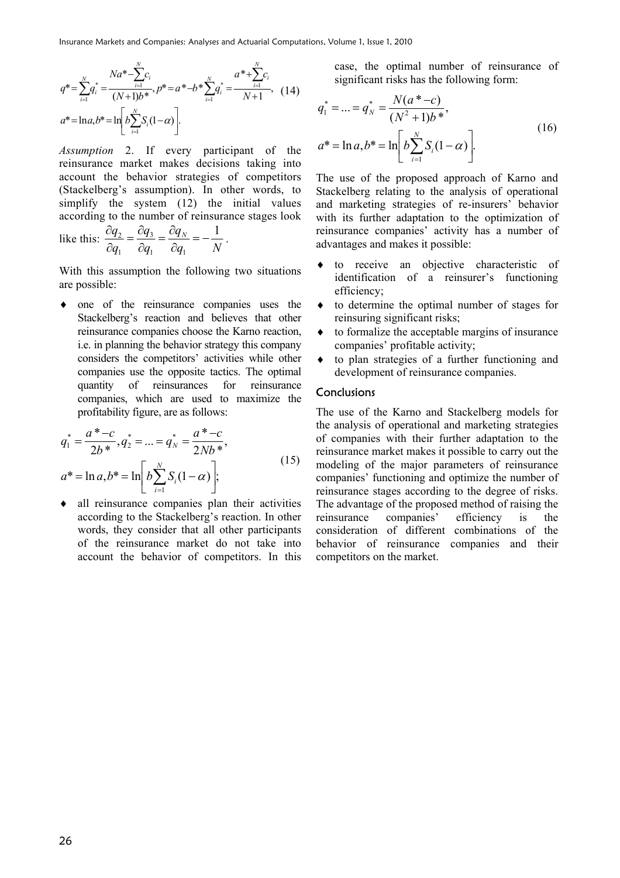$$
q^* = \sum_{i=1}^N q_i^* = \frac{Na^* - \sum_{i=1}^N c_i}{(N+1)b^*}, p^* = a^* - b^* \sum_{i=1}^N q_i^* = \frac{a^* + \sum_{i=1}^N c_i}{N+1}, \quad (14)
$$
  

$$
a^* = \ln a, b^* = \ln \left[ b \sum_{i=1}^N S_i (1-\alpha) \right].
$$

*Assumption* 2. If every participant of the reinsurance market makes decisions taking into account the behavior strategies of competitors (Stackelberg's assumption). In other words, to simplify the system (12) the initial values according to the number of reinsurance stages look

like this: 
$$
\frac{\partial q_2}{\partial q_1} = \frac{\partial q_3}{\partial q_1} = \frac{\partial q_N}{\partial q_1} = -\frac{1}{N}
$$
.

With this assumption the following two situations are possible:

♦ one of the reinsurance companies uses the Stackelberg's reaction and believes that other reinsurance companies choose the Karno reaction, i.e. in planning the behavior strategy this company considers the competitors' activities while other companies use the opposite tactics. The optimal quantity of reinsurances for reinsurance companies, which are used to maximize the profitability figure, are as follows:

$$
q_1^* = \frac{a^* - c}{2b^*}, q_2^* = \dots = q_N^* = \frac{a^* - c}{2Nb^*},
$$
  
\n
$$
a^* = \ln a, b^* = \ln \left[ b \sum_{i=1}^N S_i (1 - \alpha) \right];
$$
\n(15)

♦ all reinsurance companies plan their activities according to the Stackelberg's reaction. In other words, they consider that all other participants of the reinsurance market do not take into account the behavior of competitors. In this case, the optimal number of reinsurance of significant risks has the following form:

$$
q_1^* = \dots = q_N^* = \frac{N(a^* - c)}{(N^2 + 1)b^*},
$$
  
\n
$$
a^* = \ln a, b^* = \ln \left[ b \sum_{i=1}^N S_i (1 - \alpha) \right].
$$
\n(16)

The use of the proposed approach of Karno and Stackelberg relating to the analysis of operational and marketing strategies of re-insurers' behavior with its further adaptation to the optimization of reinsurance companies' activity has a number of advantages and makes it possible:

- ♦ to receive an objective characteristic of identification of a reinsurer's functioning efficiency;
- ♦ to determine the optimal number of stages for reinsuring significant risks;
- $\bullet$  to formalize the acceptable margins of insurance companies' profitable activity;
- ♦ to plan strategies of a further functioning and development of reinsurance companies.

#### **Conclusions**

The use of the Karno and Stackelberg models for the analysis of operational and marketing strategies of companies with their further adaptation to the reinsurance market makes it possible to carry out the modeling of the major parameters of reinsurance companies' functioning and optimize the number of reinsurance stages according to the degree of risks. The advantage of the proposed method of raising the reinsurance companies' efficiency is the consideration of different combinations of the behavior of reinsurance companies and their competitors on the market.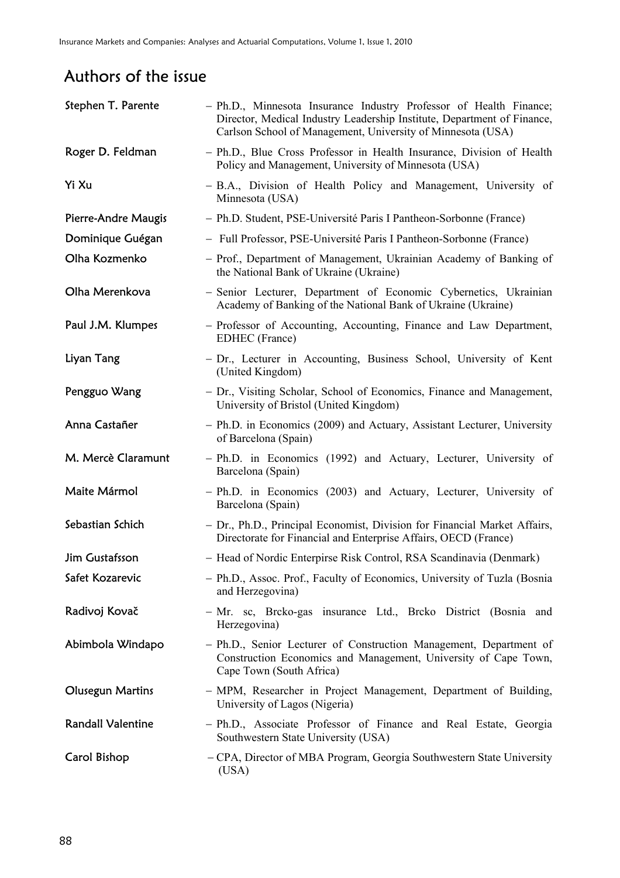## Authors of the issue

| Stephen T. Parente       | - Ph.D., Minnesota Insurance Industry Professor of Health Finance;<br>Director, Medical Industry Leadership Institute, Department of Finance,<br>Carlson School of Management, University of Minnesota (USA) |
|--------------------------|--------------------------------------------------------------------------------------------------------------------------------------------------------------------------------------------------------------|
| Roger D. Feldman         | - Ph.D., Blue Cross Professor in Health Insurance, Division of Health<br>Policy and Management, University of Minnesota (USA)                                                                                |
| Yi Xu                    | - B.A., Division of Health Policy and Management, University of<br>Minnesota (USA)                                                                                                                           |
| Pierre-Andre Maugis      | - Ph.D. Student, PSE-Université Paris I Pantheon-Sorbonne (France)                                                                                                                                           |
| Dominique Guégan         | - Full Professor, PSE-Université Paris I Pantheon-Sorbonne (France)                                                                                                                                          |
| Olha Kozmenko            | - Prof., Department of Management, Ukrainian Academy of Banking of<br>the National Bank of Ukraine (Ukraine)                                                                                                 |
| Olha Merenkova           | - Senior Lecturer, Department of Economic Cybernetics, Ukrainian<br>Academy of Banking of the National Bank of Ukraine (Ukraine)                                                                             |
| Paul J.M. Klumpes        | - Professor of Accounting, Accounting, Finance and Law Department,<br><b>EDHEC</b> (France)                                                                                                                  |
| Liyan Tang               | - Dr., Lecturer in Accounting, Business School, University of Kent<br>(United Kingdom)                                                                                                                       |
| Pengguo Wang             | - Dr., Visiting Scholar, School of Economics, Finance and Management,<br>University of Bristol (United Kingdom)                                                                                              |
| Anna Castañer            | - Ph.D. in Economics (2009) and Actuary, Assistant Lecturer, University<br>of Barcelona (Spain)                                                                                                              |
| M. Mercè Claramunt       | - Ph.D. in Economics (1992) and Actuary, Lecturer, University of<br>Barcelona (Spain)                                                                                                                        |
| Maite Mármol             | - Ph.D. in Economics (2003) and Actuary, Lecturer, University of<br>Barcelona (Spain)                                                                                                                        |
| Sebastian Schich         | - Dr., Ph.D., Principal Economist, Division for Financial Market Affairs,<br>Directorate for Financial and Enterprise Affairs, OECD (France)                                                                 |
| Jim Gustafsson           | - Head of Nordic Enterpirse Risk Control, RSA Scandinavia (Denmark)                                                                                                                                          |
| Safet Kozarevic          | - Ph.D., Assoc. Prof., Faculty of Economics, University of Tuzla (Bosnia<br>and Herzegovina)                                                                                                                 |
| Radivoj Kovač            | - Mr. sc, Brcko-gas insurance Ltd., Brcko District (Bosnia and<br>Herzegovina)                                                                                                                               |
| Abimbola Windapo         | - Ph.D., Senior Lecturer of Construction Management, Department of<br>Construction Economics and Management, University of Cape Town,<br>Cape Town (South Africa)                                            |
| <b>Olusegun Martins</b>  | - MPM, Researcher in Project Management, Department of Building,<br>University of Lagos (Nigeria)                                                                                                            |
| <b>Randall Valentine</b> | - Ph.D., Associate Professor of Finance and Real Estate, Georgia<br>Southwestern State University (USA)                                                                                                      |
| Carol Bishop             | - CPA, Director of MBA Program, Georgia Southwestern State University<br>(USA)                                                                                                                               |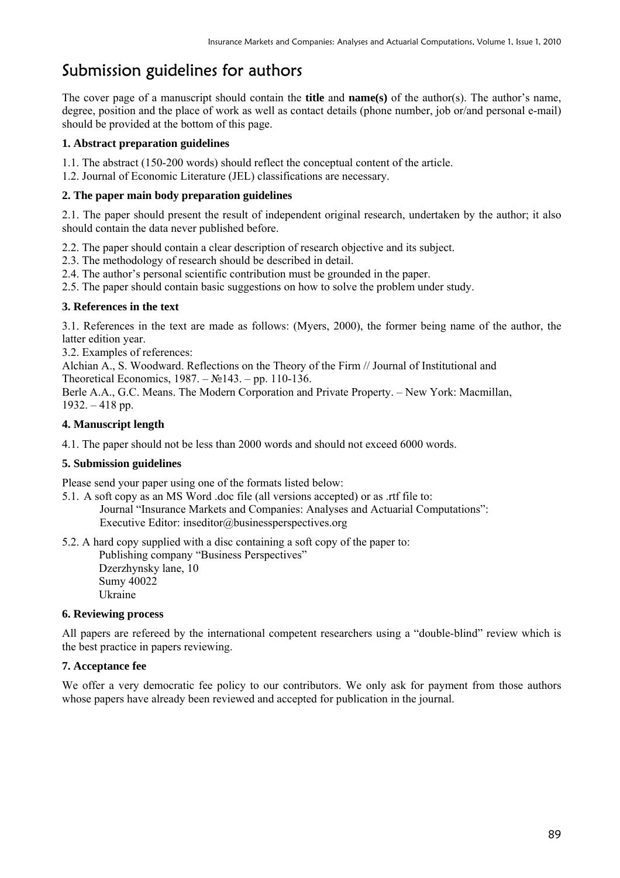# Submission guidelines for authors

The cover page of a manuscript should contain the **title** and **name(s)** of the author(s). The author's name, degree, position and the place of work as well as contact details (phone number, job or/and personal e-mail) should be provided at the bottom of this page.

### **1. Abstract preparation guidelines**

1.1. The abstract (150-200 words) should reflect the conceptual content of the article.

1.2. Journal of Economic Literature (JEL) classifications are necessary.

### **2. The paper main body preparation guidelines**

2.1. The paper should present the result of independent original research, undertaken by the author; it also should contain the data never published before.

2.2. The paper should contain a clear description of research objective and its subject.

2.3. The methodology of research should be described in detail.

2.4. The author's personal scientific contribution must be grounded in the paper.

2.5. The paper should contain basic suggestions on how to solve the problem under study.

### **3. References in the text**

3.1. References in the text are made as follows: (Myers, 2000), the former being name of the author, the latter edition year.

3.2. Examples of references:

Alchian A., S. Woodward. Reflections on the Theory of the Firm // Journal of Institutional and Theoretical Economics, 1987. – №143. – pp. 110-136.

Berle A.A., G.C. Means. The Modern Corporation and Private Property. – New York: Macmillan, 1932. – 418 рр.

### **4. Manuscript length**

4.1. The paper should not be less than 2000 words and should not exceed 6000 words.

### **5. Submission guidelines**

Please send your paper using one of the formats listed below:

5.1. A soft copy as an MS Word .doc file (all versions accepted) or as .rtf file to: Journal "Insurance Markets and Companies: Analyses and Actuarial Computations": Executive Editor: inseditor@businessperspectives.org

5.2. A hard copy supplied with a disc containing a soft copy of the paper to:

Publishing company "Business Perspectives" Dzerzhynsky lane, 10 Sumy 40022 Ukraine

### **6. Reviewing process**

All papers are refereed by the international competent researchers using a "double-blind" review which is the best practice in papers reviewing.

### **7. Acceptance fee**

We offer a very democratic fee policy to our contributors. We only ask for payment from those authors whose papers have already been reviewed and accepted for publication in the journal.